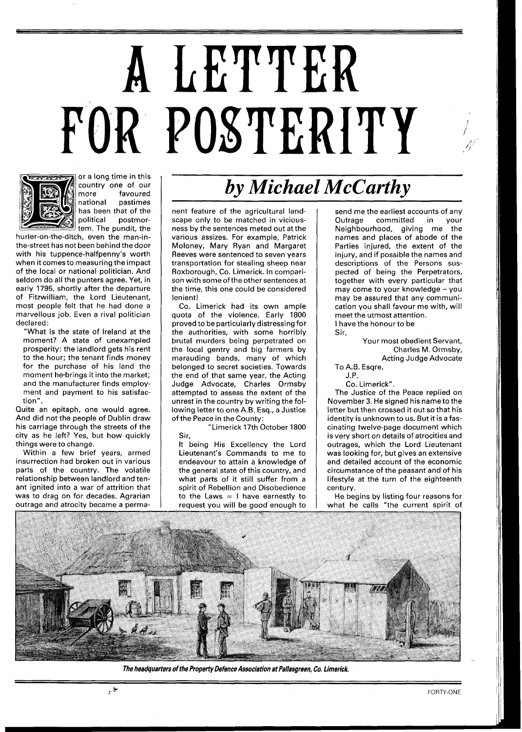## FOR POSTERITY A LETTER



or a long time in this country one of our<br>more favoured more favoure<mark>d</mark><br>national pastimes pastimes has been that of the<br>political postmorpostmortem. The pundit, the

hurler-on-the-ditch, even the man-inthe-street has not been behind the door with his tuppence-halfpenny's worth when it comes to measuring the impact of the local or national politician. And seldom do all the punters agree. Yet, in early 1795, shortly after the departure of Fitzwilliam, the Lord Lieutenant, most people felt that he had done a marvellous job. Even a rival politician declared:

"What is the state of Ireland at the moment? A state of unexampled prosperity: the landlord gets his rent to the hour; the tenant finds money for the purchase of his land the moment he\*brings it into the market; and the manufacturer finds employment and payment to his satisfaction".

Quite an epitaph, one would agree. And did not the people of Dublin draw his carriage through the streets of the city as he left? Yes, but how quickly things were to change.

Within a few brief years, armed insurrection had broken out in various parts of the country. The volatile relationship between landlord and tenant ignited into a war of attrition that was to drag on for decades. Agrarian outrage and atrocity became a perma-

ئي.<br>مواج

## *by Michael McCarthy*

nent feature of the agricultural landscape only to be matched in viciousness by the sentences meted out at the various assizes. For example, Patrick Moloney, Mary Ryan and Margaret Reeves were sentenced to seven years transportation for stealing sheep near Roxborough, Co. Limerick. In comparison with some of the other sentences at the time, this one could be considered lenient!

Co. Limerick had its own ample quota of the violence. Early 1800 proved to be particularly distressing for the authorities, with some horribly brutal murders being perpetrated on the local gentry and big farmers by marauding bands, many of which belonged to secret societies. Towards the end of that same year, the Acting Judge Advocate, Charles Ormsby attempted to assess the extent of the unrest in the country by writing the following letter to one A.B. Esq., a Justice of the Peace in the County:

"Limerick 17th October 1800 Sir,

It being His Excellency the Lord Lieutenant's Commands to me to endeavour to attain a knowledge of the general state of this country, and what parts of it still suffer from a spirit of Rebellion and Disobedience to the Laws  $= 1$  have earnestly to request you will be good enough to

send me the earliest accounts of any<br>Outrage committed in your committed in Neighbourhood, giving me the names and places of abode of the Parties injured, the extent of the injury, and if possible the names and descriptions of the Persons suspected of being the Perpetrators, together with every particular that may come to your knowledge - you may be assured that any communication you shall favour me with, will meet the utmost attention. I have the honour to be

> Your most obedient Servant, Charles M. Ormsby, Acting Judge Advocate

To A.B. Esqre,

Sir,

J.P. Co. Limerick".

The Justice of the Peace replied on November 3. He signed his name to the letter but then crossed it out so that his identity is unknown to us. But it is a fascinating twelve-page document which is very short on details of atrocities and outrages, which the Lord Lieutenant was looking for, but gives an extensive and detailed account of the economic circumstance of the peasant and of his lifestyle at the turn of the eighteenth century.

He begins by listing four reasons for what he calls "the current spirit of



**The headquarters of the Property Defence Association at Pallasgreen, Co. Limerick.**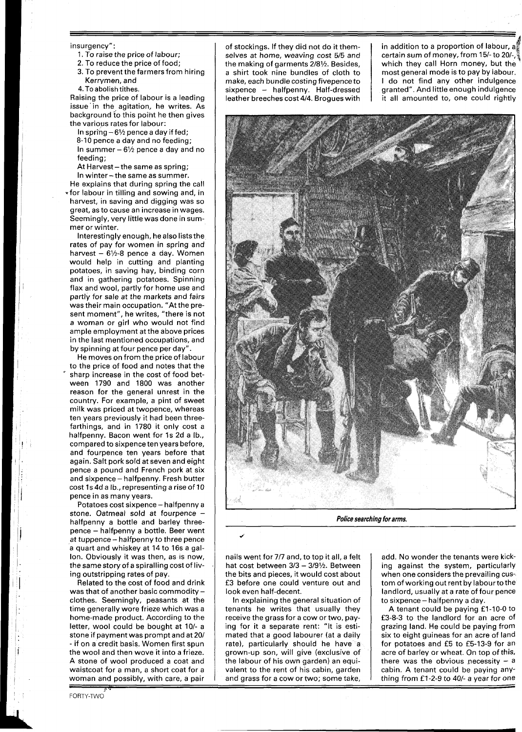## insurgency":

- 1. To raise the price of labour;
- 2. To reduce the price of food;
- 3. To prevent the farmers from hiring Kerrymen, and
- 4.Toabolish tithes.

Raising the price of labour is a leading issue in the agitation, he writes. As background to this point he then gives the various rates for labour:

In spring  $-6\frac{1}{2}$  pence a day if fed; 8-10 pence a day and no feeding; In summer  $-6\frac{1}{2}$  pence a day and no feeding;

At Harvest - the same as spring; In winter - the same as summer.

He explains that during spring the call \*for labour in tilling and sowing and, in harvest, in saving and digging was so great, as to cause an increase in wages. Seemingly, very little was done in summer or winter.

Interestingly enough, he also liststhe rates of pay for women in spring and harvest  $-6\frac{1}{2}$ -8 pence a day. Women would help in cutting and planting potatoes, in saving hay, binding corn and in gathering potatoes. Spinning flax and wool, partly for home use and partly for sale at the markets and fairs was their main occupation. "At the present moment", he writes, "there is not a woman or girl who would not find ample employment at the above prices in the last mentioned occupations, and by spinning at four pence per day".

He moves on from the price of labour to the price of food and notes that the sharp increase in the cost of food between 1790 and 1800 was another reason for the general unrest in the country. For example, a pint of sweet milk was priced at twopence, whereas ten years previously it had been threefarthings, and in 1780 it only cost a halfpenny. Bacon went for 1s 2d a lb., compared to sixpence ten years before, and fourpence ten years before that again. Salt pork sold at seven and eight pence a pound and French pork at six and sixpence- halfpenny. Fresh butter cost Is 4d a lb., representing a rise of 10 pence in as many years.

Potatoes cost sixpence - halfpenny a stone. Oatmeal sold at fourpence halfpenny a bottle and barley threepence - halfpenny a bottle. Beer went at tuppence - halfpenny to three pence a quart and whiskey at 14 to 16s a gallon. Obviously it was then, as is now, the same story of a spiralling cost of living outstripping rates of pay.

Related to the cost of food and drink was that of another basic commodity  $$ clothes. Seemingly, peasants at the time generally wore frieze which was a home-made product. According to the letter, wool could be bought at 10/- a stone if payment was prompt and at 20/ - if on a credit basis. Women first spun the wool and then wove it into a frieze. A stone of wool produced a coat and waistcoat for a man, a short coat for a woman and possibly, with care, a pair

FORTY-TWO

of stockings. If they did not do it themselves at home, weaving cost 5/5 and the making of garments 2/81/2. Besides, a shirt took nine bundles of cloth to make, each bundle costing fivepence to sixpence - halfpenny. Half-dressed leather breeches cost 414. Brogues with

in addition to a proportion of labour, a<br>certain sum of money, from 15/- to 20/-,<br>which they as ill learn money, but they which they call Horn money, but the most general mode is to pay by labour. I do not find any other indulgence granted". And little enough indulgence it all amounted to, one could rightly



**Police searching for arms.** 

nails went for 717 and, to top it all, a felt hat cost between  $3/3 - 3/9$ <sup> $\frac{1}{2}$ </sup>. Between the bits and pieces, it would cost about £3 before one could venture out and look even half-decent.

In explaining the general situation of tenants he writes that usually they receive the grass for a cow or two, paying for it a separate rent: "It is estimated that a good labourer (at a daily rate), particularly should he have a grown-up son, will give (exclusive of the labour of his own garden) an equivalent to the rent of his cabin, garden and grass for a cow or two; some take,

to sixpence- halfpenny a day. add. No wonder the tenants were kicking against the system, particularly when one considers the prevailing custom of working out rent by labourto the landlord, usually at a rate of four pence

A tenant could be paying £1-10-0 to £3-8-3 to the landlord for an acre of grazing land. He could be paying from six to eight guineas for an acre of land for potatoes and £5 to £5-13-9 for an acre of barley or wheat. On top of this, there was the obvious necessity  $-$  a cabin. A tenant could be paying anything from £1-2-9 to 40/- a year for one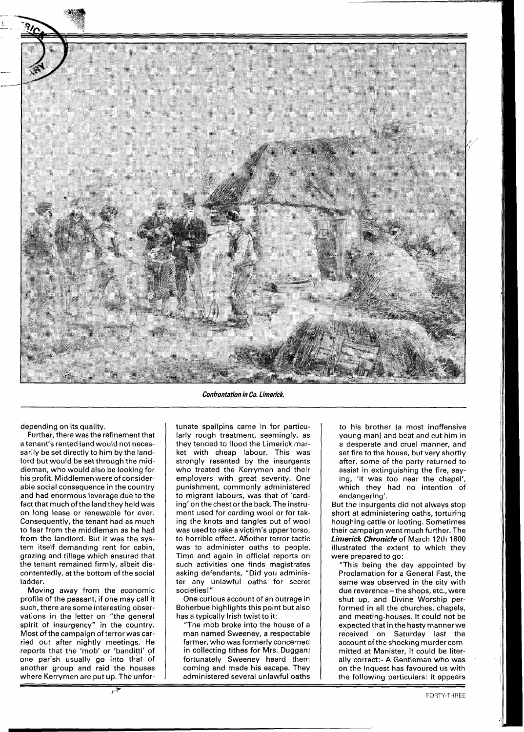

depending on its quality.

Further, there was the refinement that a tenant's rented land would not necessarily be set directly to him by the landlord but would be set through the middleman, who would also be looking for his profit. Middlemen were of considerable social consequence in the country and had enormous leverage due to the fact that much of the land they held was on long lease or renewable for ever. Consequently, the tenant had as much to fear from the middleman as he had from the landlord. But it was the system itself demanding rent for cabin, grazing and tillage which ensured that the tenant remained firmly, albeit discontentedly, at the bottom of the social ladder.

Moving away from the economic profile of the peasant, if one may call it such, there are some interesting observations in the letter on "the general spirit of insurgency" in the country. Most of the campaign of terror was carried out after nightly meetings. He reports that the 'mob' or 'banditti' of one parish usually go into that of another group and raid the houses where Kerrymen are put up. The unfor-<br>  $\frac{1}{\sqrt{2\pi}}$ 

**Confrontation in Co. Limerick.** 

tunate spailpins came in for particularly rough treatment, seemingly, as they tended to flood the Limerick market with cheap labour. This was strongly resented by the insurgents who treated the Kerrymen and their employers with great severity. One punishment, commonly administered to migrant labours, was that of 'carding' on the chest orthe back. The instrument used for carding wool or for taking the knots and tangles out of wool was used to rake a victim's uppertorso, to horrible effect. Ahother terror tactic was to administer oaths to people. Time and again in official reports on such activities one finds magistrates asking defendants, "Did you administer any unlawful oaths for secret societies!"

One curious account of an outrage in Boherbue highlights this point but also has a typically Irish twist to it:

"The mob broke into the house of a man named Sweeney, a respectable farmer, who was formerly concerned in collecting tithes for Mrs. Duggan; fortunately Sweeney heard them coming and made his escape. They administered several unlawful oaths

to his brother (a most inoffensive young man) and beat and cut him in a desperate and cruel manner, and set fire to the house, but very shortly after, some of the party returned to assist in extinguishing the fire, saying, 'it was too near the chapel', which they had no intention of endangering'.

But the insurgents did not always stop short at administering oaths, torturing houghing cattle or looting. Sometimes their campaign went much further. The **Limerick Chronicle** of March 12th 1800 illustrated the extent to which they were prepared to go:

"This being the day appointed by Proclamation for a General Fast, the same was observed in the city with due reverence - the shops, etc., were shut up, and Divine Worship performed in all the churches, chapels, and meeting-houses. It could not be expected that in the hasty manner we received on Saturday last the account of the shocking murder committed at Manister, it could be literally correct:- A Gentleman who was on the Inquest has favoured us with the following particulars: It appears